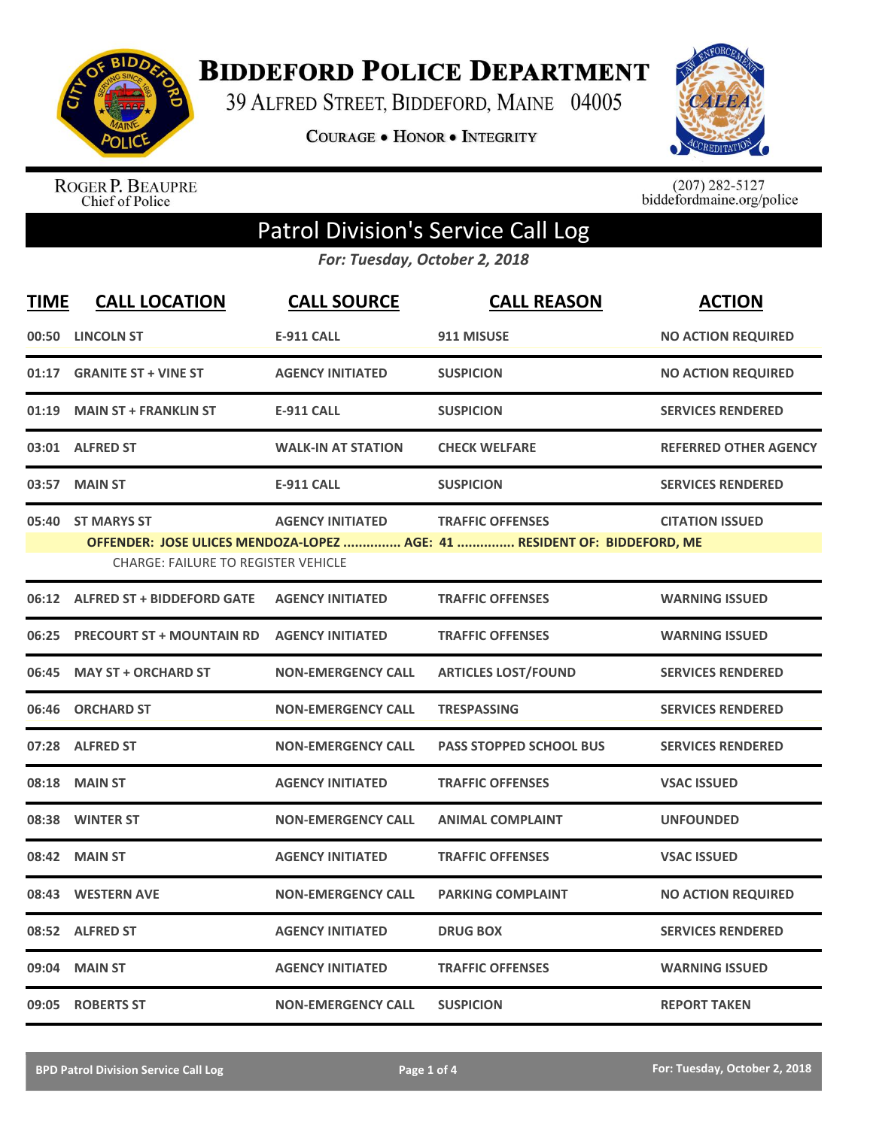

**BIDDEFORD POLICE DEPARTMENT** 

39 ALFRED STREET, BIDDEFORD, MAINE 04005

**COURAGE . HONOR . INTEGRITY** 



ROGER P. BEAUPRE<br>Chief of Police

 $(207)$  282-5127<br>biddefordmaine.org/police

## Patrol Division's Service Call Log

*For: Tuesday, October 2, 2018*

| <b>TIME</b> | <b>CALL LOCATION</b>                                            | <b>CALL SOURCE</b>        | <b>CALL REASON</b>                                                                                  | <b>ACTION</b>                |
|-------------|-----------------------------------------------------------------|---------------------------|-----------------------------------------------------------------------------------------------------|------------------------------|
|             | 00:50 LINCOLN ST                                                | <b>E-911 CALL</b>         | 911 MISUSE                                                                                          | <b>NO ACTION REQUIRED</b>    |
| 01:17       | <b>GRANITE ST + VINE ST</b>                                     | <b>AGENCY INITIATED</b>   | <b>SUSPICION</b>                                                                                    | <b>NO ACTION REQUIRED</b>    |
| 01:19       | <b>MAIN ST + FRANKLIN ST</b>                                    | <b>E-911 CALL</b>         | <b>SUSPICION</b>                                                                                    | <b>SERVICES RENDERED</b>     |
|             | 03:01 ALFRED ST                                                 | <b>WALK-IN AT STATION</b> | <b>CHECK WELFARE</b>                                                                                | <b>REFERRED OTHER AGENCY</b> |
| 03:57       | <b>MAIN ST</b>                                                  | <b>E-911 CALL</b>         | <b>SUSPICION</b>                                                                                    | <b>SERVICES RENDERED</b>     |
|             | 05:40 ST MARYS ST<br><b>CHARGE: FAILURE TO REGISTER VEHICLE</b> | <b>AGENCY INITIATED</b>   | <b>TRAFFIC OFFENSES</b><br>OFFENDER: JOSE ULICES MENDOZA-LOPEZ  AGE: 41  RESIDENT OF: BIDDEFORD, ME | <b>CITATION ISSUED</b>       |
|             | 06:12 ALFRED ST + BIDDEFORD GATE                                | <b>AGENCY INITIATED</b>   | <b>TRAFFIC OFFENSES</b>                                                                             | <b>WARNING ISSUED</b>        |
| 06:25       | <b>PRECOURT ST + MOUNTAIN RD</b>                                | <b>AGENCY INITIATED</b>   | <b>TRAFFIC OFFENSES</b>                                                                             | <b>WARNING ISSUED</b>        |
| 06:45       | <b>MAY ST + ORCHARD ST</b>                                      | <b>NON-EMERGENCY CALL</b> | <b>ARTICLES LOST/FOUND</b>                                                                          | <b>SERVICES RENDERED</b>     |
| 06:46       | <b>ORCHARD ST</b>                                               | <b>NON-EMERGENCY CALL</b> | <b>TRESPASSING</b>                                                                                  | <b>SERVICES RENDERED</b>     |
|             | 07:28 ALFRED ST                                                 | <b>NON-EMERGENCY CALL</b> | <b>PASS STOPPED SCHOOL BUS</b>                                                                      | <b>SERVICES RENDERED</b>     |
| 08:18       | <b>MAIN ST</b>                                                  | <b>AGENCY INITIATED</b>   | <b>TRAFFIC OFFENSES</b>                                                                             | <b>VSAC ISSUED</b>           |
|             | 08:38 WINTER ST                                                 | <b>NON-EMERGENCY CALL</b> | <b>ANIMAL COMPLAINT</b>                                                                             | <b>UNFOUNDED</b>             |
| 08:42       | <b>MAIN ST</b>                                                  | <b>AGENCY INITIATED</b>   | <b>TRAFFIC OFFENSES</b>                                                                             | <b>VSAC ISSUED</b>           |
|             | 08:43 WESTERN AVE                                               | <b>NON-EMERGENCY CALL</b> | <b>PARKING COMPLAINT</b>                                                                            | <b>NO ACTION REQUIRED</b>    |
|             | 08:52 ALFRED ST                                                 | <b>AGENCY INITIATED</b>   | <b>DRUG BOX</b>                                                                                     | <b>SERVICES RENDERED</b>     |
| 09:04       | <b>MAIN ST</b>                                                  | <b>AGENCY INITIATED</b>   | <b>TRAFFIC OFFENSES</b>                                                                             | <b>WARNING ISSUED</b>        |
|             | 09:05 ROBERTS ST                                                | <b>NON-EMERGENCY CALL</b> | <b>SUSPICION</b>                                                                                    | <b>REPORT TAKEN</b>          |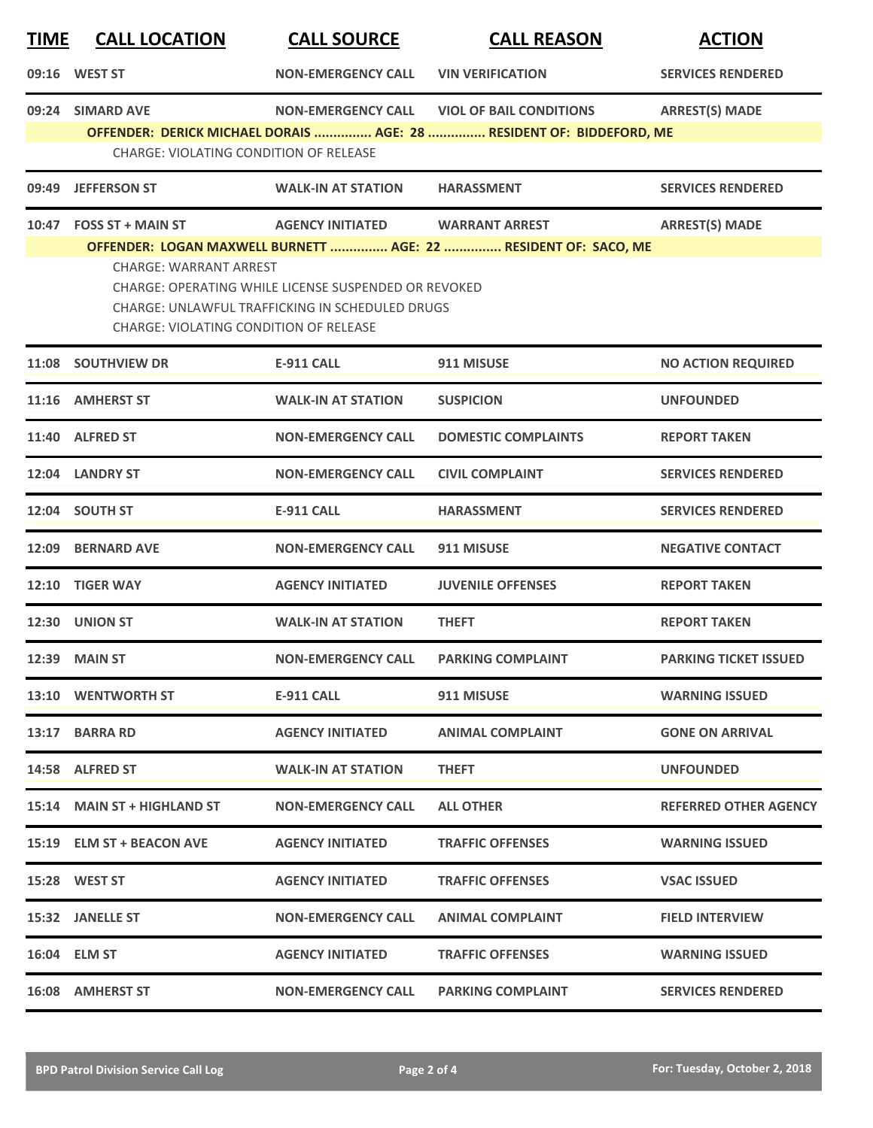| <b>TIME</b> | <b>CALL LOCATION</b>                                                           | <b>CALL SOURCE</b>                                                                                      | <b>CALL REASON</b>                                                   | <b>ACTION</b>                |
|-------------|--------------------------------------------------------------------------------|---------------------------------------------------------------------------------------------------------|----------------------------------------------------------------------|------------------------------|
|             | 09:16 WEST ST                                                                  | <b>NON-EMERGENCY CALL</b>                                                                               | <b>VIN VERIFICATION</b>                                              | <b>SERVICES RENDERED</b>     |
| 09:24       | <b>SIMARD AVE</b>                                                              | <b>NON-EMERGENCY CALL</b>                                                                               | <b>VIOL OF BAIL CONDITIONS</b>                                       | <b>ARREST(S) MADE</b>        |
|             | <b>CHARGE: VIOLATING CONDITION OF RELEASE</b>                                  |                                                                                                         | OFFENDER: DERICK MICHAEL DORAIS  AGE: 28  RESIDENT OF: BIDDEFORD, ME |                              |
|             | 09:49 JEFFERSON ST                                                             | <b>WALK-IN AT STATION</b>                                                                               | <b>HARASSMENT</b>                                                    | <b>SERVICES RENDERED</b>     |
| 10:47       | <b>FOSS ST + MAIN ST</b>                                                       | <b>AGENCY INITIATED</b>                                                                                 | <b>WARRANT ARREST</b>                                                | <b>ARREST(S) MADE</b>        |
|             | <b>CHARGE: WARRANT ARREST</b><br><b>CHARGE: VIOLATING CONDITION OF RELEASE</b> | CHARGE: OPERATING WHILE LICENSE SUSPENDED OR REVOKED<br>CHARGE: UNLAWFUL TRAFFICKING IN SCHEDULED DRUGS | OFFENDER: LOGAN MAXWELL BURNETT  AGE: 22  RESIDENT OF: SACO, ME      |                              |
|             | 11:08 SOUTHVIEW DR                                                             | <b>E-911 CALL</b>                                                                                       | 911 MISUSE                                                           | <b>NO ACTION REQUIRED</b>    |
|             | 11:16 AMHERST ST                                                               | <b>WALK-IN AT STATION</b>                                                                               | <b>SUSPICION</b>                                                     | <b>UNFOUNDED</b>             |
| 11:40       | <b>ALFRED ST</b>                                                               | <b>NON-EMERGENCY CALL</b>                                                                               | <b>DOMESTIC COMPLAINTS</b>                                           | <b>REPORT TAKEN</b>          |
| 12:04       | <b>LANDRY ST</b>                                                               | <b>NON-EMERGENCY CALL</b>                                                                               | <b>CIVIL COMPLAINT</b>                                               | <b>SERVICES RENDERED</b>     |
|             | 12:04 SOUTH ST                                                                 | <b>E-911 CALL</b>                                                                                       | <b>HARASSMENT</b>                                                    | <b>SERVICES RENDERED</b>     |
|             | 12:09 BERNARD AVE                                                              | <b>NON-EMERGENCY CALL</b>                                                                               | 911 MISUSE                                                           | <b>NEGATIVE CONTACT</b>      |
| 12:10       | <b>TIGER WAY</b>                                                               | <b>AGENCY INITIATED</b>                                                                                 | <b>JUVENILE OFFENSES</b>                                             | <b>REPORT TAKEN</b>          |
| 12:30       | <b>UNION ST</b>                                                                | <b>WALK-IN AT STATION</b>                                                                               | <b>THEFT</b>                                                         | <b>REPORT TAKEN</b>          |
|             | <b>12:39 MAIN ST</b>                                                           | <b>NON-EMERGENCY CALL</b>                                                                               | <b>PARKING COMPLAINT</b>                                             | <b>PARKING TICKET ISSUED</b> |
|             | 13:10 WENTWORTH ST                                                             | E-911 CALL                                                                                              | 911 MISUSE                                                           | <b>WARNING ISSUED</b>        |
|             | 13:17 BARRA RD                                                                 | <b>AGENCY INITIATED</b>                                                                                 | <b>ANIMAL COMPLAINT</b>                                              | <b>GONE ON ARRIVAL</b>       |
|             | 14:58 ALFRED ST                                                                | <b>WALK-IN AT STATION</b>                                                                               | <b>THEFT</b>                                                         | <b>UNFOUNDED</b>             |
|             | 15:14 MAIN ST + HIGHLAND ST                                                    | <b>NON-EMERGENCY CALL</b>                                                                               | <b>ALL OTHER</b>                                                     | <b>REFERRED OTHER AGENCY</b> |
|             | 15:19 ELM ST + BEACON AVE                                                      | <b>AGENCY INITIATED</b>                                                                                 | <b>TRAFFIC OFFENSES</b>                                              | <b>WARNING ISSUED</b>        |
|             | 15:28 WEST ST                                                                  | <b>AGENCY INITIATED</b>                                                                                 | <b>TRAFFIC OFFENSES</b>                                              | <b>VSAC ISSUED</b>           |
|             | 15:32 JANELLE ST                                                               | <b>NON-EMERGENCY CALL</b>                                                                               | <b>ANIMAL COMPLAINT</b>                                              | <b>FIELD INTERVIEW</b>       |
|             | 16:04 ELM ST                                                                   | <b>AGENCY INITIATED</b>                                                                                 | <b>TRAFFIC OFFENSES</b>                                              | <b>WARNING ISSUED</b>        |
|             | 16:08 AMHERST ST                                                               | <b>NON-EMERGENCY CALL</b>                                                                               | <b>PARKING COMPLAINT</b>                                             | <b>SERVICES RENDERED</b>     |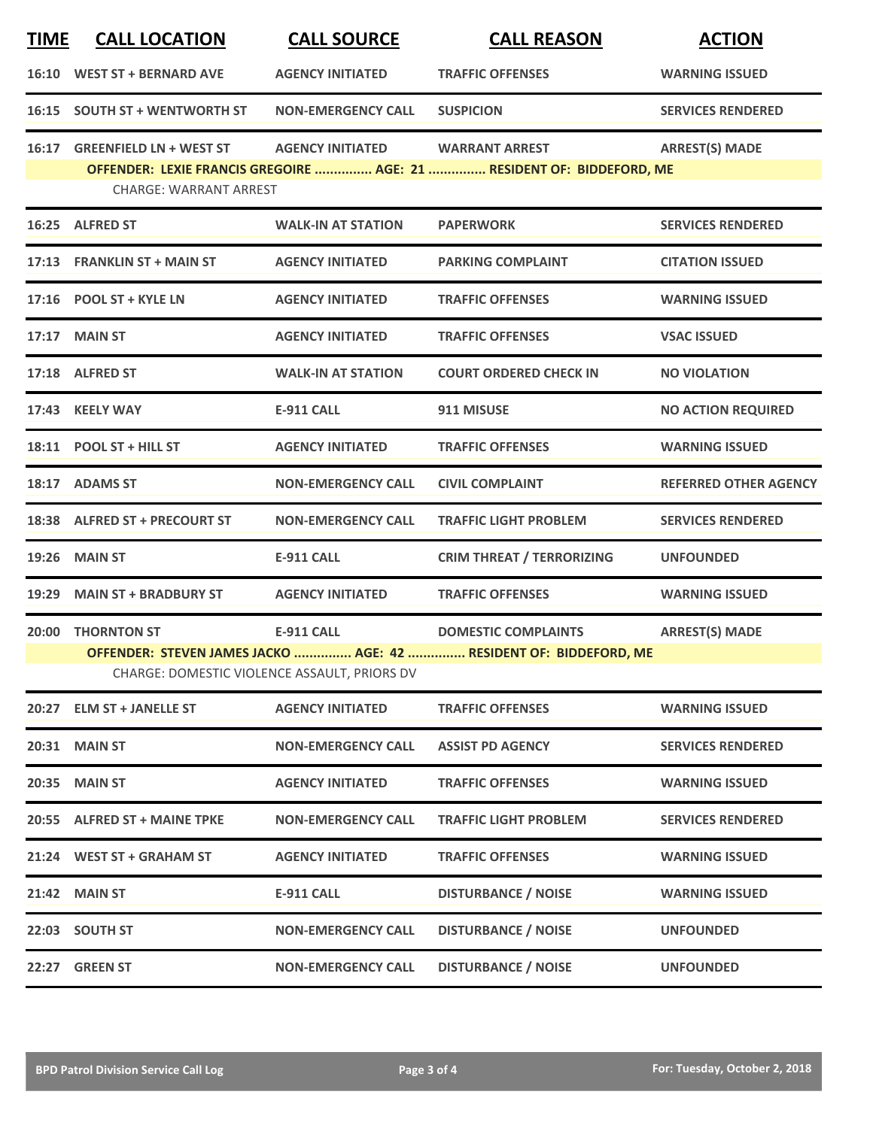| <b>TIME</b> | <b>CALL LOCATION</b>                                           | <b>CALL SOURCE</b>                                                | <b>CALL REASON</b>                                                                              | <b>ACTION</b>                |
|-------------|----------------------------------------------------------------|-------------------------------------------------------------------|-------------------------------------------------------------------------------------------------|------------------------------|
|             | 16:10 WEST ST + BERNARD AVE                                    | <b>AGENCY INITIATED</b>                                           | <b>TRAFFIC OFFENSES</b>                                                                         | <b>WARNING ISSUED</b>        |
|             | 16:15 SOUTH ST + WENTWORTH ST                                  | <b>NON-EMERGENCY CALL</b>                                         | <b>SUSPICION</b>                                                                                | <b>SERVICES RENDERED</b>     |
|             | 16:17 GREENFIELD LN + WEST ST<br><b>CHARGE: WARRANT ARREST</b> | <b>AGENCY INITIATED</b>                                           | <b>WARRANT ARREST</b><br>OFFENDER: LEXIE FRANCIS GREGOIRE  AGE: 21  RESIDENT OF: BIDDEFORD, ME  | <b>ARREST(S) MADE</b>        |
|             | 16:25 ALFRED ST                                                | <b>WALK-IN AT STATION</b>                                         | <b>PAPERWORK</b>                                                                                | <b>SERVICES RENDERED</b>     |
|             | 17:13 FRANKLIN ST + MAIN ST                                    | <b>AGENCY INITIATED</b>                                           | <b>PARKING COMPLAINT</b>                                                                        | <b>CITATION ISSUED</b>       |
|             | 17:16 POOL ST + KYLE LN                                        | <b>AGENCY INITIATED</b>                                           | <b>TRAFFIC OFFENSES</b>                                                                         | <b>WARNING ISSUED</b>        |
|             | 17:17 MAIN ST                                                  | <b>AGENCY INITIATED</b>                                           | <b>TRAFFIC OFFENSES</b>                                                                         | <b>VSAC ISSUED</b>           |
|             | 17:18 ALFRED ST                                                | <b>WALK-IN AT STATION</b>                                         | <b>COURT ORDERED CHECK IN</b>                                                                   | <b>NO VIOLATION</b>          |
|             | 17:43 KEELY WAY                                                | <b>E-911 CALL</b>                                                 | 911 MISUSE                                                                                      | <b>NO ACTION REQUIRED</b>    |
|             | 18:11 POOL ST + HILL ST                                        | <b>AGENCY INITIATED</b>                                           | <b>TRAFFIC OFFENSES</b>                                                                         | <b>WARNING ISSUED</b>        |
|             | 18:17 ADAMS ST                                                 | <b>NON-EMERGENCY CALL</b>                                         | <b>CIVIL COMPLAINT</b>                                                                          | <b>REFERRED OTHER AGENCY</b> |
|             | 18:38 ALFRED ST + PRECOURT ST                                  | <b>NON-EMERGENCY CALL</b>                                         | <b>TRAFFIC LIGHT PROBLEM</b>                                                                    | <b>SERVICES RENDERED</b>     |
| 19:26       | <b>MAIN ST</b>                                                 | <b>E-911 CALL</b>                                                 | <b>CRIM THREAT / TERRORIZING</b>                                                                | <b>UNFOUNDED</b>             |
|             | 19:29 MAIN ST + BRADBURY ST                                    | <b>AGENCY INITIATED</b>                                           | <b>TRAFFIC OFFENSES</b>                                                                         | <b>WARNING ISSUED</b>        |
|             | 20:00 THORNTON ST                                              | <b>E-911 CALL</b><br>CHARGE: DOMESTIC VIOLENCE ASSAULT, PRIORS DV | <b>DOMESTIC COMPLAINTS</b><br>OFFENDER: STEVEN JAMES JACKO  AGE: 42  RESIDENT OF: BIDDEFORD, ME | <b>ARREST(S) MADE</b>        |
|             | 20:27 ELM ST + JANELLE ST                                      | <b>AGENCY INITIATED</b>                                           | <b>TRAFFIC OFFENSES</b>                                                                         | <b>WARNING ISSUED</b>        |
|             | <b>20:31 MAIN ST</b>                                           | <b>NON-EMERGENCY CALL</b>                                         | <b>ASSIST PD AGENCY</b>                                                                         | <b>SERVICES RENDERED</b>     |
| 20:35       | <b>MAIN ST</b>                                                 | <b>AGENCY INITIATED</b>                                           | <b>TRAFFIC OFFENSES</b>                                                                         | <b>WARNING ISSUED</b>        |
|             | 20:55 ALFRED ST + MAINE TPKE                                   | <b>NON-EMERGENCY CALL</b>                                         | <b>TRAFFIC LIGHT PROBLEM</b>                                                                    | <b>SERVICES RENDERED</b>     |
|             | 21:24 WEST ST + GRAHAM ST                                      | <b>AGENCY INITIATED</b>                                           | <b>TRAFFIC OFFENSES</b>                                                                         | <b>WARNING ISSUED</b>        |
| 21:42       | <b>MAIN ST</b>                                                 | <b>E-911 CALL</b>                                                 | <b>DISTURBANCE / NOISE</b>                                                                      | <b>WARNING ISSUED</b>        |
|             | 22:03 SOUTH ST                                                 | <b>NON-EMERGENCY CALL</b>                                         | <b>DISTURBANCE / NOISE</b>                                                                      | <b>UNFOUNDED</b>             |
| 22:27       | <b>GREEN ST</b>                                                | <b>NON-EMERGENCY CALL</b>                                         | <b>DISTURBANCE / NOISE</b>                                                                      | <b>UNFOUNDED</b>             |